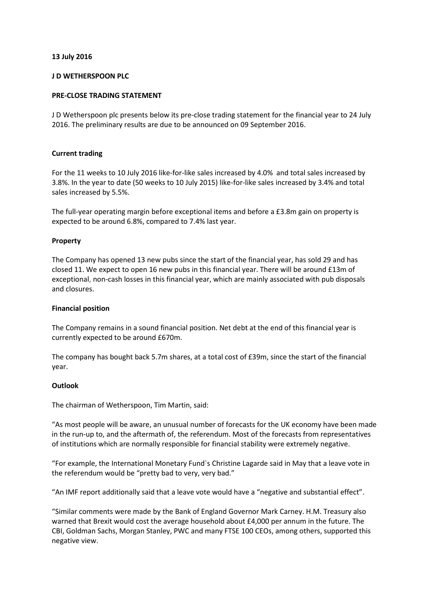# **13 July 2016**

### **J D WETHERSPOON PLC**

# **PRE-CLOSE TRADING STATEMENT**

J D Wetherspoon plc presents below its pre-close trading statement for the financial year to 24 July 2016. The preliminary results are due to be announced on 09 September 2016.

### **Current trading**

For the 11 weeks to 10 July 2016 like-for-like sales increased by 4.0% and total sales increased by 3.8%. In the year to date (50 weeks to 10 July 2015) like-for-like sales increased by 3.4% and total sales increased by 5.5%.

The full-year operating margin before exceptional items and before a £3.8m gain on property is expected to be around 6.8%, compared to 7.4% last year.

### **Property**

The Company has opened 13 new pubs since the start of the financial year, has sold 29 and has closed 11. We expect to open 16 new pubs in this financial year. There will be around £13m of exceptional, non-cash losses in this financial year, which are mainly associated with pub disposals and closures.

### **Financial position**

The Company remains in a sound financial position. Net debt at the end of this financial year is currently expected to be around £670m.

The company has bought back 5.7m shares, at a total cost of £39m, since the start of the financial year.

### **Outlook**

The chairman of Wetherspoon, Tim Martin, said:

"As most people will be aware, an unusual number of forecasts for the UK economy have been made in the run-up to, and the aftermath of, the referendum. Most of the forecasts from representatives of institutions which are normally responsible for financial stability were extremely negative.

"For example, the International Monetary Fund`s Christine Lagarde said in May that a leave vote in the referendum would be "pretty bad to very, very bad."

"An IMF report additionally said that a leave vote would have a "negative and substantial effect".

"Similar comments were made by the Bank of England Governor Mark Carney. H.M. Treasury also warned that Brexit would cost the average household about £4,000 per annum in the future. The CBI, Goldman Sachs, Morgan Stanley, PWC and many FTSE 100 CEOs, among others, supported this negative view.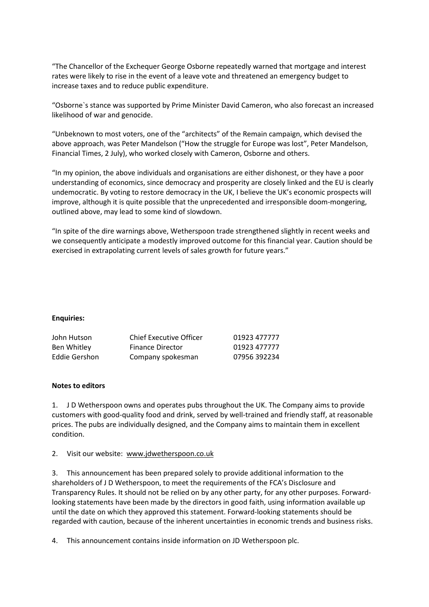"The Chancellor of the Exchequer George Osborne repeatedly warned that mortgage and interest rates were likely to rise in the event of a leave vote and threatened an emergency budget to increase taxes and to reduce public expenditure.

"Osborne`s stance was supported by Prime Minister David Cameron, who also forecast an increased likelihood of war and genocide.

"Unbeknown to most voters, one of the "architects" of the Remain campaign, which devised the above approach, was Peter Mandelson ("How the struggle for Europe was lost", Peter Mandelson, Financial Times, 2 July), who worked closely with Cameron, Osborne and others.

"In my opinion, the above individuals and organisations are either dishonest, or they have a poor understanding of economics, since democracy and prosperity are closely linked and the EU is clearly undemocratic. By voting to restore democracy in the UK, I believe the UK's economic prospects will improve, although it is quite possible that the unprecedented and irresponsible doom-mongering, outlined above, may lead to some kind of slowdown.

"In spite of the dire warnings above, Wetherspoon trade strengthened slightly in recent weeks and we consequently anticipate a modestly improved outcome for this financial year. Caution should be exercised in extrapolating current levels of sales growth for future years."

### **Enquiries:**

| John Hutson   | <b>Chief Executive Officer</b> | 01923 477777 |
|---------------|--------------------------------|--------------|
| Ben Whitley   | <b>Finance Director</b>        | 01923 477777 |
| Eddie Gershon | Company spokesman              | 07956 392234 |

# **Notes to editors**

1. J D Wetherspoon owns and operates pubs throughout the UK. The Company aims to provide customers with good-quality food and drink, served by well-trained and friendly staff, at reasonable prices. The pubs are individually designed, and the Company aims to maintain them in excellent condition.

### 2. Visit our website: [www.jdwetherspoon.co.uk](http://www.jdwetherspoon.co.uk/)

3. This announcement has been prepared solely to provide additional information to the shareholders of J D Wetherspoon, to meet the requirements of the FCA's Disclosure and Transparency Rules. It should not be relied on by any other party, for any other purposes. Forwardlooking statements have been made by the directors in good faith, using information available up until the date on which they approved this statement. Forward-looking statements should be regarded with caution, because of the inherent uncertainties in economic trends and business risks.

4. This announcement contains inside information on JD Wetherspoon plc.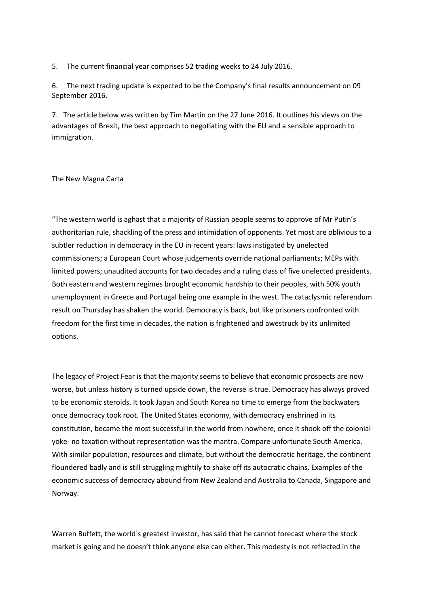5. The current financial year comprises 52 trading weeks to 24 July 2016.

6. The next trading update is expected to be the Company's final results announcement on 09 September 2016.

7. The article below was written by Tim Martin on the 27 June 2016. It outlines his views on the advantages of Brexit, the best approach to negotiating with the EU and a sensible approach to immigration.

#### The New Magna Carta

"The western world is aghast that a majority of Russian people seems to approve of Mr Putin's authoritarian rule, shackling of the press and intimidation of opponents. Yet most are oblivious to a subtler reduction in democracy in the EU in recent years: laws instigated by unelected commissioners; a European Court whose judgements override national parliaments; MEPs with limited powers; unaudited accounts for two decades and a ruling class of five unelected presidents. Both eastern and western regimes brought economic hardship to their peoples, with 50% youth unemployment in Greece and Portugal being one example in the west. The cataclysmic referendum result on Thursday has shaken the world. Democracy is back, but like prisoners confronted with freedom for the first time in decades, the nation is frightened and awestruck by its unlimited options.

The legacy of Project Fear is that the majority seems to believe that economic prospects are now worse, but unless history is turned upside down, the reverse is true. Democracy has always proved to be economic steroids. It took Japan and South Korea no time to emerge from the backwaters once democracy took root. The United States economy, with democracy enshrined in its constitution, became the most successful in the world from nowhere, once it shook off the colonial yoke- no taxation without representation was the mantra. Compare unfortunate South America. With similar population, resources and climate, but without the democratic heritage, the continent floundered badly and is still struggling mightily to shake off its autocratic chains. Examples of the economic success of democracy abound from New Zealand and Australia to Canada, Singapore and Norway.

Warren Buffett, the world`s greatest investor, has said that he cannot forecast where the stock market is going and he doesn't think anyone else can either. This modesty is not reflected in the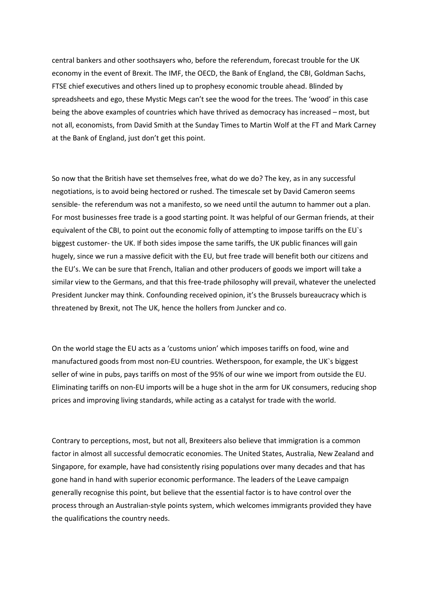central bankers and other soothsayers who, before the referendum, forecast trouble for the UK economy in the event of Brexit. The IMF, the OECD, the Bank of England, the CBI, Goldman Sachs, FTSE chief executives and others lined up to prophesy economic trouble ahead. Blinded by spreadsheets and ego, these Mystic Megs can't see the wood for the trees. The 'wood' in this case being the above examples of countries which have thrived as democracy has increased – most, but not all, economists, from David Smith at the Sunday Times to Martin Wolf at the FT and Mark Carney at the Bank of England, just don't get this point.

So now that the British have set themselves free, what do we do? The key, as in any successful negotiations, is to avoid being hectored or rushed. The timescale set by David Cameron seems sensible- the referendum was not a manifesto, so we need until the autumn to hammer out a plan. For most businesses free trade is a good starting point. It was helpful of our German friends, at their equivalent of the CBI, to point out the economic folly of attempting to impose tariffs on the EU`s biggest customer- the UK. If both sides impose the same tariffs, the UK public finances will gain hugely, since we run a massive deficit with the EU, but free trade will benefit both our citizens and the EU's. We can be sure that French, Italian and other producers of goods we import will take a similar view to the Germans, and that this free-trade philosophy will prevail, whatever the unelected President Juncker may think. Confounding received opinion, it's the Brussels bureaucracy which is threatened by Brexit, not The UK, hence the hollers from Juncker and co.

On the world stage the EU acts as a 'customs union' which imposes tariffs on food, wine and manufactured goods from most non-EU countries. Wetherspoon, for example, the UK`s biggest seller of wine in pubs, pays tariffs on most of the 95% of our wine we import from outside the EU. Eliminating tariffs on non-EU imports will be a huge shot in the arm for UK consumers, reducing shop prices and improving living standards, while acting as a catalyst for trade with the world.

Contrary to perceptions, most, but not all, Brexiteers also believe that immigration is a common factor in almost all successful democratic economies. The United States, Australia, New Zealand and Singapore, for example, have had consistently rising populations over many decades and that has gone hand in hand with superior economic performance. The leaders of the Leave campaign generally recognise this point, but believe that the essential factor is to have control over the process through an Australian-style points system, which welcomes immigrants provided they have the qualifications the country needs.